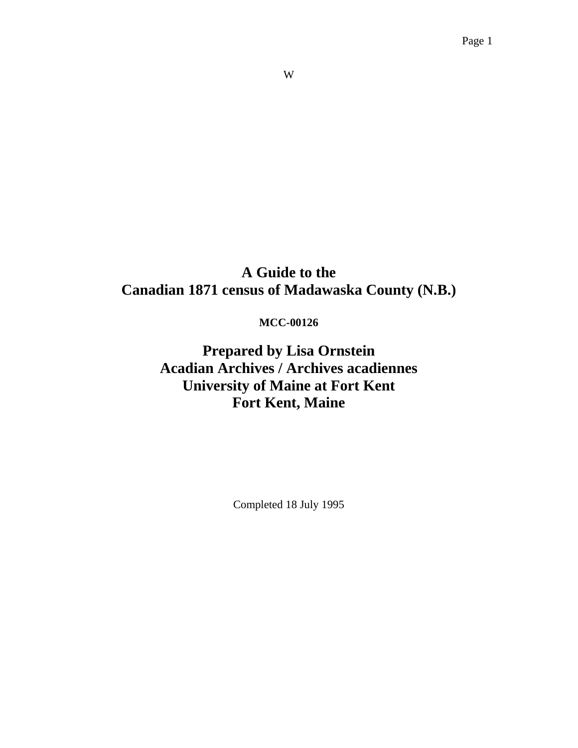#### W

# **A Guide to the Canadian 1871 census of Madawaska County (N.B.)**

## **MCC-00126**

**Prepared by Lisa Ornstein Acadian Archives / Archives acadiennes University of Maine at Fort Kent Fort Kent, Maine** 

Completed 18 July 1995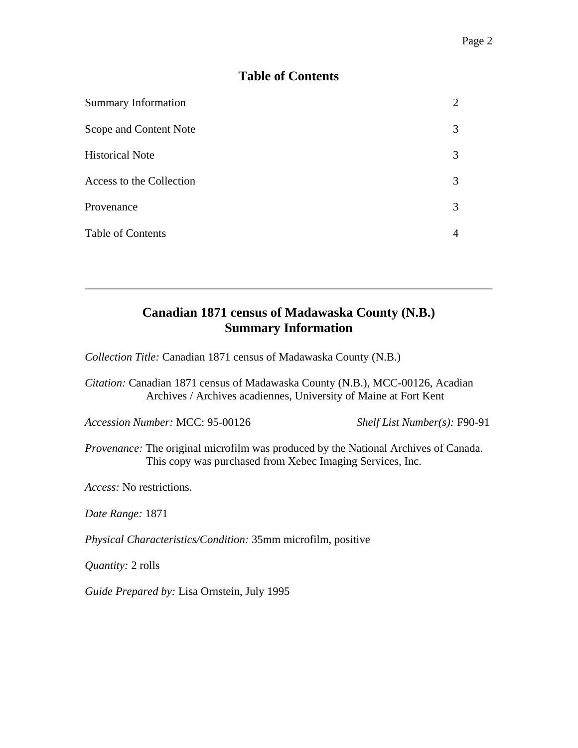## **Table of Contents**

| <b>Summary Information</b> |   |
|----------------------------|---|
| Scope and Content Note     | 3 |
| <b>Historical Note</b>     | 3 |
| Access to the Collection   | 3 |
| Provenance                 | 3 |
| <b>Table of Contents</b>   | 4 |

## **Canadian 1871 census of Madawaska County (N.B.) Summary Information**

*Collection Title:* Canadian 1871 census of Madawaska County (N.B.)

*Citation:* Canadian 1871 census of Madawaska County (N.B.), MCC-00126, Acadian Archives / Archives acadiennes, University of Maine at Fort Kent

*Accession Number:* MCC: 95-00126 *Shelf List Number(s):* F90-91

*Provenance:* The original microfilm was produced by the National Archives of Canada. This copy was purchased from Xebec Imaging Services, Inc.

*Access:* No restrictions.

*Date Range:* 1871

*Physical Characteristics/Condition:* 35mm microfilm, positive

*Quantity:* 2 rolls

*Guide Prepared by:* Lisa Ornstein, July 1995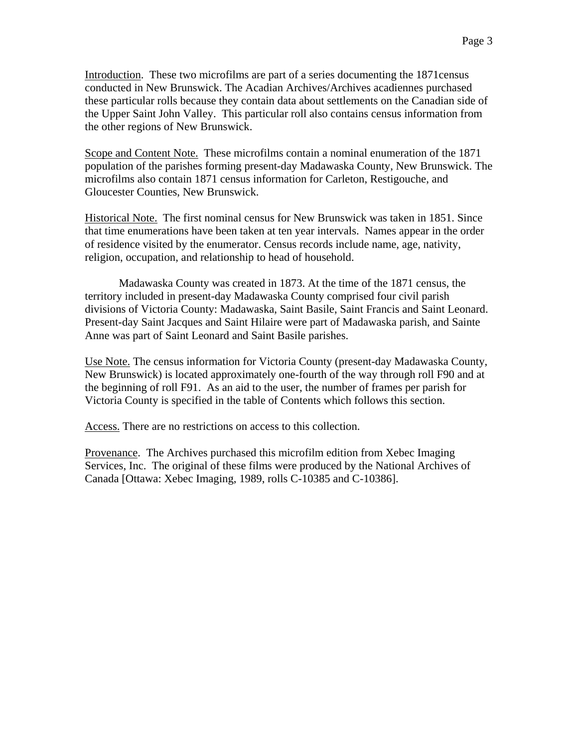Introduction. These two microfilms are part of a series documenting the 1871census conducted in New Brunswick. The Acadian Archives/Archives acadiennes purchased these particular rolls because they contain data about settlements on the Canadian side of the Upper Saint John Valley. This particular roll also contains census information from the other regions of New Brunswick.

Scope and Content Note. These microfilms contain a nominal enumeration of the 1871 population of the parishes forming present-day Madawaska County, New Brunswick. The microfilms also contain 1871 census information for Carleton, Restigouche, and Gloucester Counties, New Brunswick.

Historical Note. The first nominal census for New Brunswick was taken in 1851. Since that time enumerations have been taken at ten year intervals. Names appear in the order of residence visited by the enumerator. Census records include name, age, nativity, religion, occupation, and relationship to head of household.

 Madawaska County was created in 1873. At the time of the 1871 census, the territory included in present-day Madawaska County comprised four civil parish divisions of Victoria County: Madawaska, Saint Basile, Saint Francis and Saint Leonard. Present-day Saint Jacques and Saint Hilaire were part of Madawaska parish, and Sainte Anne was part of Saint Leonard and Saint Basile parishes.

Use Note. The census information for Victoria County (present-day Madawaska County, New Brunswick) is located approximately one-fourth of the way through roll F90 and at the beginning of roll F91. As an aid to the user, the number of frames per parish for Victoria County is specified in the table of Contents which follows this section.

Access. There are no restrictions on access to this collection.

Provenance. The Archives purchased this microfilm edition from Xebec Imaging Services, Inc. The original of these films were produced by the National Archives of Canada [Ottawa: Xebec Imaging, 1989, rolls C-10385 and C-10386].